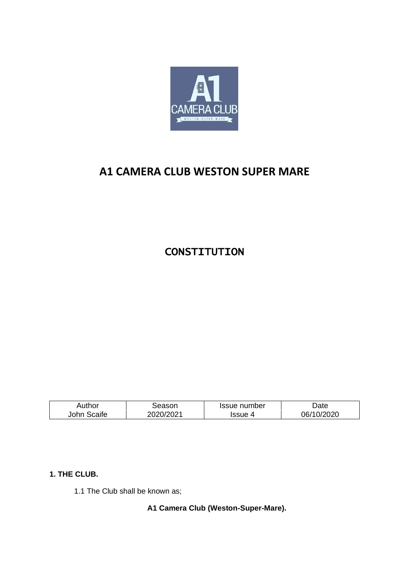

# **A1 CAMERA CLUB WESTON SUPER MARE**

**CONSTITUTION** 

| Author      | season    | Issue number | Date.      |
|-------------|-----------|--------------|------------|
| John Scaife | 2020/2021 | Issue 4      | 06/10/2020 |

# **1. THE CLUB.**

1.1 The Club shall be known as;

**A1 Camera Club (Weston-Super-Mare).**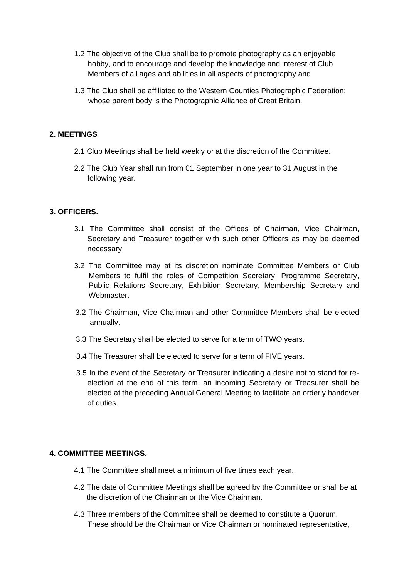- 1.2 The objective of the Club shall be to promote photography as an enjoyable hobby, and to encourage and develop the knowledge and interest of Club Members of all ages and abilities in all aspects of photography and
- 1.3 The Club shall be affiliated to the Western Counties Photographic Federation; whose parent body is the Photographic Alliance of Great Britain.

# **2. MEETINGS**

- 2.1 Club Meetings shall be held weekly or at the discretion of the Committee.
- 2.2 The Club Year shall run from 01 September in one year to 31 August in the following year.

# **3. OFFICERS.**

- 3.1 The Committee shall consist of the Offices of Chairman, Vice Chairman, Secretary and Treasurer together with such other Officers as may be deemed necessary.
- 3.2 The Committee may at its discretion nominate Committee Members or Club Members to fulfil the roles of Competition Secretary, Programme Secretary, Public Relations Secretary, Exhibition Secretary, Membership Secretary and Webmaster.
- 3.2 The Chairman, Vice Chairman and other Committee Members shall be elected annually.
- 3.3 The Secretary shall be elected to serve for a term of TWO years.
- 3.4 The Treasurer shall be elected to serve for a term of FIVE years.
- 3.5 In the event of the Secretary or Treasurer indicating a desire not to stand for reelection at the end of this term, an incoming Secretary or Treasurer shall be elected at the preceding Annual General Meeting to facilitate an orderly handover of duties.

# **4. COMMITTEE MEETINGS.**

- 4.1 The Committee shall meet a minimum of five times each year.
- 4.2 The date of Committee Meetings shall be agreed by the Committee or shall be at the discretion of the Chairman or the Vice Chairman.
- 4.3 Three members of the Committee shall be deemed to constitute a Quorum. These should be the Chairman or Vice Chairman or nominated representative,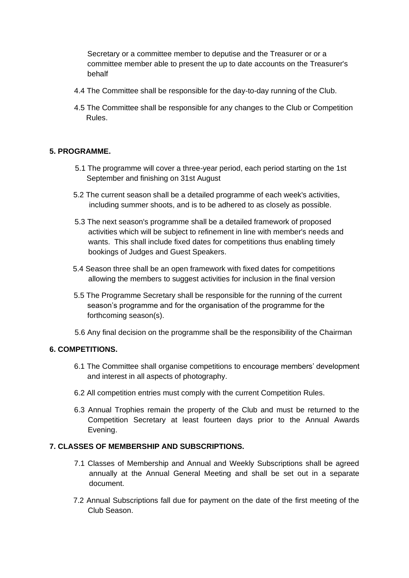Secretary or a committee member to deputise and the Treasurer or or a committee member able to present the up to date accounts on the Treasurer's behalf

- 4.4 The Committee shall be responsible for the day-to-day running of the Club.
- 4.5 The Committee shall be responsible for any changes to the Club or Competition Rules.

# **5. PROGRAMME.**

- 5.1 The programme will cover a three-year period, each period starting on the 1st September and finishing on 31st August
- 5.2 The current season shall be a detailed programme of each week's activities, including summer shoots, and is to be adhered to as closely as possible.
- 5.3 The next season's programme shall be a detailed framework of proposed activities which will be subject to refinement in line with member's needs and wants. This shall include fixed dates for competitions thus enabling timely bookings of Judges and Guest Speakers.
- 5.4 Season three shall be an open framework with fixed dates for competitions allowing the members to suggest activities for inclusion in the final version
- 5.5 The Programme Secretary shall be responsible for the running of the current season's programme and for the organisation of the programme for the forthcoming season(s).
- 5.6 Any final decision on the programme shall be the responsibility of the Chairman

# **6. COMPETITIONS.**

- 6.1 The Committee shall organise competitions to encourage members' development and interest in all aspects of photography.
- 6.2 All competition entries must comply with the current Competition Rules.
- 6.3 Annual Trophies remain the property of the Club and must be returned to the Competition Secretary at least fourteen days prior to the Annual Awards Evening.

#### **7. CLASSES OF MEMBERSHIP AND SUBSCRIPTIONS.**

- 7.1 Classes of Membership and Annual and Weekly Subscriptions shall be agreed annually at the Annual General Meeting and shall be set out in a separate document.
- 7.2 Annual Subscriptions fall due for payment on the date of the first meeting of the Club Season.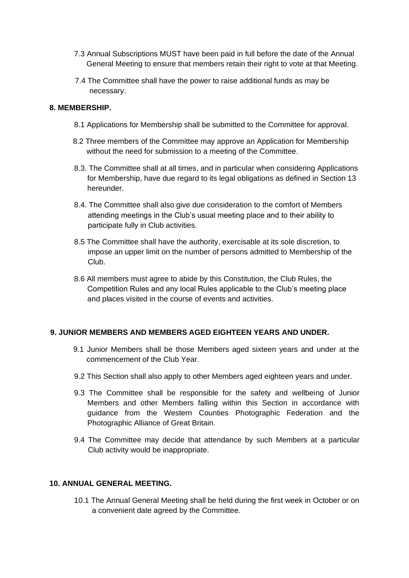- 7.3 Annual Subscriptions MUST have been paid in full before the date of the Annual General Meeting to ensure that members retain their right to vote at that Meeting.
- 7.4 The Committee shall have the power to raise additional funds as may be necessary.

#### **8. MEMBERSHIP.**

- 8.1 Applications for Membership shall be submitted to the Committee for approval.
- 8.2 Three members of the Committee may approve an Application for Membership without the need for submission to a meeting of the Committee.
- 8.3. The Committee shall at all times, and in particular when considering Applications for Membership, have due regard to its legal obligations as defined in Section 13 hereunder.
- 8.4. The Committee shall also give due consideration to the comfort of Members attending meetings in the Club's usual meeting place and to their ability to participate fully in Club activities.
- 8.5 The Committee shall have the authority, exercisable at its sole discretion, to impose an upper limit on the number of persons admitted to Membership of the Club.
- 8.6 All members must agree to abide by this Constitution, the Club Rules, the Competition Rules and any local Rules applicable to the Club's meeting place and places visited in the course of events and activities.

# **9. JUNIOR MEMBERS AND MEMBERS AGED EIGHTEEN YEARS AND UNDER.**

- 9.1 Junior Members shall be those Members aged sixteen years and under at the commencement of the Club Year.
- 9.2 This Section shall also apply to other Members aged eighteen years and under.
- 9.3 The Committee shall be responsible for the safety and wellbeing of Junior Members and other Members falling within this Section in accordance with guidance from the Western Counties Photographic Federation and the Photographic Alliance of Great Britain.
- 9.4 The Committee may decide that attendance by such Members at a particular Club activity would be inappropriate.

#### **10. ANNUAL GENERAL MEETING.**

10.1 The Annual General Meeting shall be held during the first week in October or on a convenient date agreed by the Committee.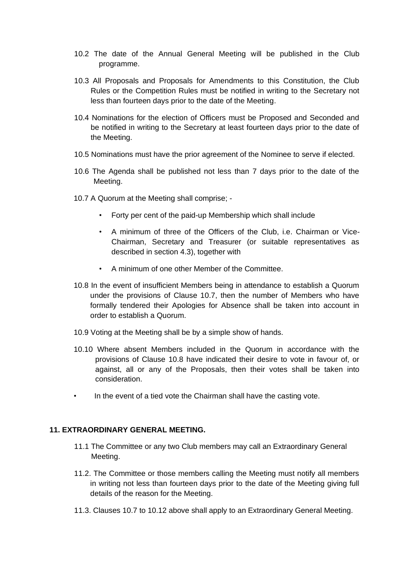- 10.2 The date of the Annual General Meeting will be published in the Club programme.
- 10.3 All Proposals and Proposals for Amendments to this Constitution, the Club Rules or the Competition Rules must be notified in writing to the Secretary not less than fourteen days prior to the date of the Meeting.
- 10.4 Nominations for the election of Officers must be Proposed and Seconded and be notified in writing to the Secretary at least fourteen days prior to the date of the Meeting.
- 10.5 Nominations must have the prior agreement of the Nominee to serve if elected.
- 10.6 The Agenda shall be published not less than 7 days prior to the date of the Meeting.
- 10.7 A Quorum at the Meeting shall comprise;
	- Forty per cent of the paid-up Membership which shall include
	- A minimum of three of the Officers of the Club, i.e. Chairman or Vice-Chairman, Secretary and Treasurer (or suitable representatives as described in section 4.3), together with
	- A minimum of one other Member of the Committee.
- 10.8 In the event of insufficient Members being in attendance to establish a Quorum under the provisions of Clause 10.7, then the number of Members who have formally tendered their Apologies for Absence shall be taken into account in order to establish a Quorum.
- 10.9 Voting at the Meeting shall be by a simple show of hands.
- 10.10 Where absent Members included in the Quorum in accordance with the provisions of Clause 10.8 have indicated their desire to vote in favour of, or against, all or any of the Proposals, then their votes shall be taken into consideration.
- In the event of a tied vote the Chairman shall have the casting vote.

#### **11. EXTRAORDINARY GENERAL MEETING.**

- 11.1 The Committee or any two Club members may call an Extraordinary General Meeting.
- 11.2. The Committee or those members calling the Meeting must notify all members in writing not less than fourteen days prior to the date of the Meeting giving full details of the reason for the Meeting.
- 11.3. Clauses 10.7 to 10.12 above shall apply to an Extraordinary General Meeting.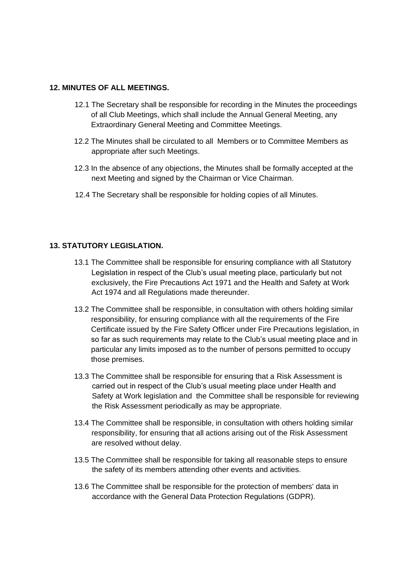# **12. MINUTES OF ALL MEETINGS.**

- 12.1 The Secretary shall be responsible for recording in the Minutes the proceedings of all Club Meetings, which shall include the Annual General Meeting, any Extraordinary General Meeting and Committee Meetings.
- 12.2 The Minutes shall be circulated to all Members or to Committee Members as appropriate after such Meetings.
- 12.3 In the absence of any objections, the Minutes shall be formally accepted at the next Meeting and signed by the Chairman or Vice Chairman.
- 12.4 The Secretary shall be responsible for holding copies of all Minutes.

# **13. STATUTORY LEGISLATION.**

- 13.1 The Committee shall be responsible for ensuring compliance with all Statutory Legislation in respect of the Club's usual meeting place, particularly but not exclusively, the Fire Precautions Act 1971 and the Health and Safety at Work Act 1974 and all Regulations made thereunder.
- 13.2 The Committee shall be responsible, in consultation with others holding similar responsibility, for ensuring compliance with all the requirements of the Fire Certificate issued by the Fire Safety Officer under Fire Precautions legislation, in so far as such requirements may relate to the Club's usual meeting place and in particular any limits imposed as to the number of persons permitted to occupy those premises.
- 13.3 The Committee shall be responsible for ensuring that a Risk Assessment is carried out in respect of the Club's usual meeting place under Health and Safety at Work legislation and the Committee shall be responsible for reviewing the Risk Assessment periodically as may be appropriate.
- 13.4 The Committee shall be responsible, in consultation with others holding similar responsibility, for ensuring that all actions arising out of the Risk Assessment are resolved without delay.
- 13.5 The Committee shall be responsible for taking all reasonable steps to ensure the safety of its members attending other events and activities.
- 13.6 The Committee shall be responsible for the protection of members' data in accordance with the General Data Protection Regulations (GDPR).